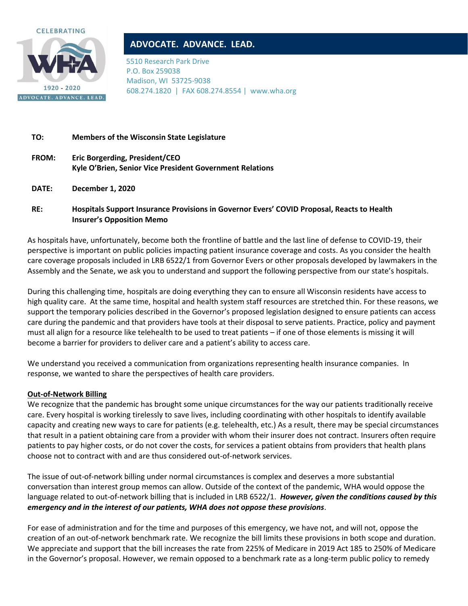



# **ADVOCATE. ADVANCE. LEAD.**

5510 Research Park Drive P.O. Box 259038 Madison, WI 53725-9038 608.274.1820 | FAX 608.274.8554 | www.wha.org

## **TO: Members of the Wisconsin State Legislature**

- **FROM: Eric Borgerding, President/CEO Kyle O'Brien, Senior Vice President Government Relations**
- **DATE: December 1, 2020**

# **RE: Hospitals Support Insurance Provisions in Governor Evers' COVID Proposal, Reacts to Health Insurer's Opposition Memo**

As hospitals have, unfortunately, become both the frontline of battle and the last line of defense to COVID-19, their perspective is important on public policies impacting patient insurance coverage and costs. As you consider the health care coverage proposals included in LRB 6522/1 from Governor Evers or other proposals developed by lawmakers in the Assembly and the Senate, we ask you to understand and support the following perspective from our state's hospitals.

During this challenging time, hospitals are doing everything they can to ensure all Wisconsin residents have access to high quality care. At the same time, hospital and health system staff resources are stretched thin. For these reasons, we support the temporary policies described in the Governor's proposed legislation designed to ensure patients can access care during the pandemic and that providers have tools at their disposal to serve patients. Practice, policy and payment must all align for a resource like telehealth to be used to treat patients – if one of those elements is missing it will become a barrier for providers to deliver care and a patient's ability to access care.

We understand you received a communication from organizations representing health insurance companies. In response, we wanted to share the perspectives of health care providers.

#### **Out-of-Network Billing**

We recognize that the pandemic has brought some unique circumstances for the way our patients traditionally receive care. Every hospital is working tirelessly to save lives, including coordinating with other hospitals to identify available capacity and creating new ways to care for patients (e.g. telehealth, etc.) As a result, there may be special circumstances that result in a patient obtaining care from a provider with whom their insurer does not contract. Insurers often require patients to pay higher costs, or do not cover the costs, for services a patient obtains from providers that health plans choose not to contract with and are thus considered out-of-network services.

The issue of out-of-network billing under normal circumstances is complex and deserves a more substantial conversation than interest group memos can allow. Outside of the context of the pandemic, WHA would oppose the language related to out-of-network billing that is included in LRB 6522/1. *However, given the conditions caused by this emergency and in the interest of our patients, WHA does not oppose these provisions*.

For ease of administration and for the time and purposes of this emergency, we have not, and will not, oppose the creation of an out-of-network benchmark rate. We recognize the bill limits these provisions in both scope and duration. We appreciate and support that the bill increases the rate from 225% of Medicare in 2019 Act 185 to 250% of Medicare in the Governor's proposal. However, we remain opposed to a benchmark rate as a long-term public policy to remedy